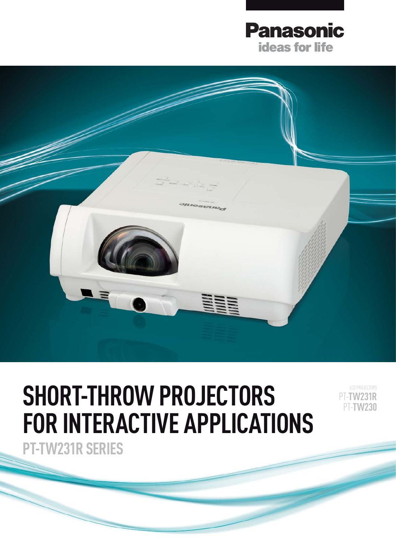



# **SHORT-THROW PROJECTORS FOR INTERACTIVE APPLICATIONS**

LCD PROJECTORS PT-**TW231R** PT-**TW230**

**PT-TW231R SERIES**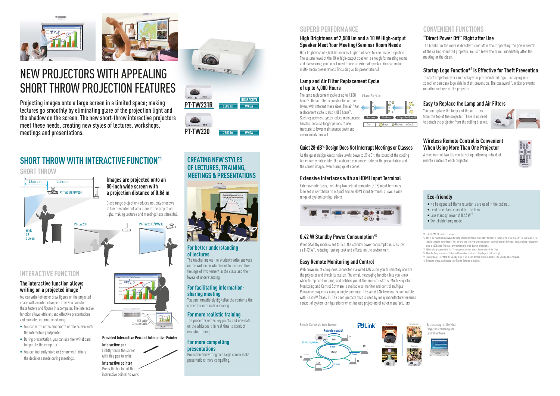### **"Direct Power Off" Right after Use**

The breaker in the room is directly turned off without operating the power switch of the ceiling-mounted projector. You can leave the room immediately after the meeting or the class.

### **Startup Logo Function\*<sup>6</sup> is Effective for Theft Prevention**

To start projection, you can display your pre-registered logo. Displaying your school or company logo aids in theft prevention. The password function prevents unauthorised use of the projector.

### **Easy to Replace the Lamp and Air Filters**

You can replace the lamp and the air filters from the top of the projector. There is no need to detach the projector from the ceiling bracket.



### **Wireless Remote Control is Convenient When Using More Than One Projector**

### **The interactive function allows writing on a projected image<sup>\*</sup>**

A maximum of two IDs can be set up, allowing individual remote control of each projector.



# NEW PROJECTORS WITH APPEALING SHORT THROW PROJECTION FEATURES

Projecting images onto a large screen in a limited space; making lectures go smoothly by eliminating glare of the projection light and the shadow on the screen. The new short-throw interactive projectors meet these needs, creating new styles of lectures, workshops, meetings and presentations.









You can write letters or draw figures on the projected image with an interactive pen. Then you can store these letters and figures in a computer. The interactive function allows efficient and effective presentations and promotes information sharing.

As the quiet design keeps noise levels down to 29-dB<sup>\*4</sup>, the sound of the cooling fan is hardly noticeable. The audience can concentrate on the presentation and the screen images even during quiet scenes.

- You can write notes and points on the screen with the interactive pen/pointer.
- During presentation, you can use the whiteboard to operate the computer.
- You can instantly store and share with others the decisions made during meetings.

When Standby mode is set to Eco, the standby power consumptions is as low as 0.42 W<sup>\*5</sup>, reducing running cost and effects on the environment.

### **SHORT THROW**

# **SHORT THROW WITH INTERACTIVE FUNCTION\*1**

### **INTERACTIVE FUNCTION**

**For better understanding of lectures** The teacher makes the students write answers

on the written on whiteboard to increase their feelings of involvement in the class and their levels of understanding.

### **For facilitating informationsharing meeting**

You can immediately digitalize the contents the screen for information sharing.

### **For more realistic training**

The presenter writes key points and new data on the whiteboard in real time to conduct realistic training.

### **For more compelling presentations**

Projection and writing on a large screen make presentations more compelling.

## **CREATING NEW STYLES OF LECTURES, TRAINING, MEETINGS & PRESENTATIONS**



### **High Brightness of 2,500 lm and a 10 W High-output Speaker Meet Your Meeting/Seminar Room Needs**

**Thile** USB cable Computer Cable **Provided Interactive Pen and Interactive Pointer**

早







High brightness of 2,500 lm ensures bright and easy-to-see image projection. The volume level of the 10 W high-output speaker is enough for meeting rooms and classrooms; you do not need to use an external speaker. You can make multi-media presentations (including audio presentations).

> Basic concept of the Multi Projector Monitoring and Control Software



### **Lamp and Air Filter Replacement Cycle of up to 4,000 Hours**

The lamp replacement cycle of up to 4,000 hours\*2. The air filter is constructed of three layers with different mesh sizes. The air filter replacement cycle is also 4,000 hours\*3. Such replacement cycles reduce maintenance hassles, because longer periods of use translate to lower maintenance costs and environmental impact.

### **Quiet 28-dB\*4 Design Does Not Interrupt Meetings or Classes**



### **Extensive Interfaces with an HDMI Input Terminal**

Extensive interfaces, including two sets of computer (RGB) input terminals (one set is switchable to output) and an HDMI input terminal, allows a wide range of system configurations.



### **0.42 W Standby Power Consumption\*5**

### **Easy Remote Monitoring and Control**

Web browsers of computers connected via wired LAN allow you to remotely operate the projector and check its status. The email messaging function lets you know when to replace the lamp, and notifies you of the projector status. Multi Projector Monitoring and Control Software is available to monitor and control multiple Panasonic projectors using a single computer. The wired LAN terminal is compatible with PJLink™ (class 1). The open protocol that is used by many manufacturer ensures control of system configurations which include projectors of other manufacturers.

## **CONVENIENT FUNCTIONS**

\*1 Only PT-TW231R has this function.

- \*2 This is the maximum value when the lamp power is set to Eco mode where the lamp is turned on for 2 hours and off for 0.25 hours. If the lamp is turned on more times or kept on for a long time, the lamp replacement cycle will shorten. In Normal mode, the lamp replacement cycle is 3,000 hours. The usage environment affects the duration of the lamp.
- \*3 With the lamp power set to Eco. The usage environment affects the duration of the filter.
- \*4 When the lamp power is set to Eco and fan control is set to Off.(Non-high altitude setting).
- \*5 Standby mode: Eco. When the Standby mode is set to Eco, network functions such as LAN Standby On do not work.
- \*6 To register a logo, the included Logo Transfer Software is required.

### **Eco-friendly**

• No halogenated flame retardants are used in the cabinet.

- Lead-free glass is used for the lens.
- $\bullet$  Low standby power of 0.42  $W^{\text{+}5}$
- Switchable lamp mode.

.



**Interactive pointer** Press the button of the interactive pointer to work.

### **SUPERB PERFORMANCE**